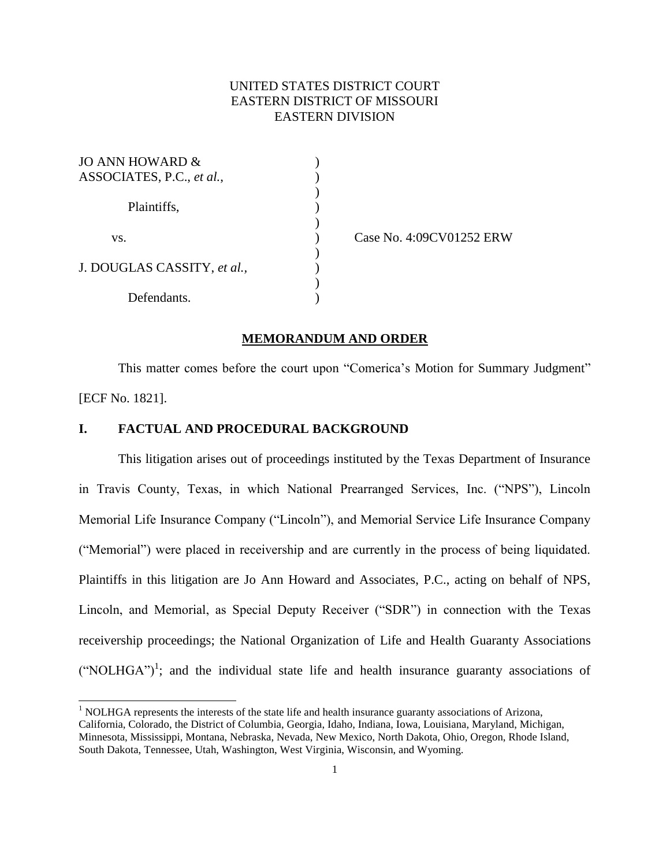# UNITED STATES DISTRICT COURT EASTERN DISTRICT OF MISSOURI EASTERN DIVISION

)

)

 $\mathcal{L}$ 

| JO ANN HOWARD &             |  |
|-----------------------------|--|
| ASSOCIATES, P.C., et al.,   |  |
| Plaintiffs,                 |  |
| VS.                         |  |
| J. DOUGLAS CASSITY, et al., |  |
| Defendants.                 |  |

l

) Case No. 4:09CV01252 ERW

#### **MEMORANDUM AND ORDER**

This matter comes before the court upon "Comerica's Motion for Summary Judgment" [ECF No. 1821].

# **I. FACTUAL AND PROCEDURAL BACKGROUND**

This litigation arises out of proceedings instituted by the Texas Department of Insurance in Travis County, Texas, in which National Prearranged Services, Inc. ("NPS"), Lincoln Memorial Life Insurance Company ("Lincoln"), and Memorial Service Life Insurance Company ("Memorial") were placed in receivership and are currently in the process of being liquidated. Plaintiffs in this litigation are Jo Ann Howard and Associates, P.C., acting on behalf of NPS, Lincoln, and Memorial, as Special Deputy Receiver ("SDR") in connection with the Texas receivership proceedings; the National Organization of Life and Health Guaranty Associations  $("NOLHGA")^1$ ; and the individual state life and health insurance guaranty associations of

 $<sup>1</sup>$  NOLHGA represents the interests of the state life and health insurance guaranty associations of Arizona,</sup> California, Colorado, the District of Columbia, Georgia, Idaho, Indiana, Iowa, Louisiana, Maryland, Michigan, Minnesota, Mississippi, Montana, Nebraska, Nevada, New Mexico, North Dakota, Ohio, Oregon, Rhode Island, South Dakota, Tennessee, Utah, Washington, West Virginia, Wisconsin, and Wyoming.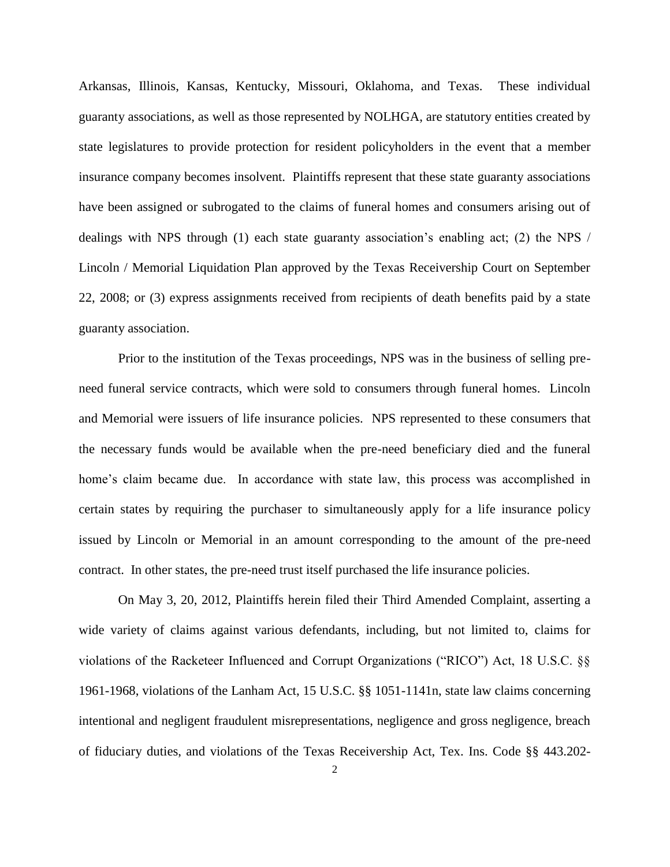Arkansas, Illinois, Kansas, Kentucky, Missouri, Oklahoma, and Texas. These individual guaranty associations, as well as those represented by NOLHGA, are statutory entities created by state legislatures to provide protection for resident policyholders in the event that a member insurance company becomes insolvent. Plaintiffs represent that these state guaranty associations have been assigned or subrogated to the claims of funeral homes and consumers arising out of dealings with NPS through (1) each state guaranty association's enabling act; (2) the NPS / Lincoln / Memorial Liquidation Plan approved by the Texas Receivership Court on September 22, 2008; or (3) express assignments received from recipients of death benefits paid by a state guaranty association.

Prior to the institution of the Texas proceedings, NPS was in the business of selling preneed funeral service contracts, which were sold to consumers through funeral homes. Lincoln and Memorial were issuers of life insurance policies. NPS represented to these consumers that the necessary funds would be available when the pre-need beneficiary died and the funeral home's claim became due. In accordance with state law, this process was accomplished in certain states by requiring the purchaser to simultaneously apply for a life insurance policy issued by Lincoln or Memorial in an amount corresponding to the amount of the pre-need contract. In other states, the pre-need trust itself purchased the life insurance policies.

On May 3, 20, 2012, Plaintiffs herein filed their Third Amended Complaint, asserting a wide variety of claims against various defendants, including, but not limited to, claims for violations of the Racketeer Influenced and Corrupt Organizations ("RICO") Act, 18 U.S.C. §§ 1961-1968, violations of the Lanham Act, 15 U.S.C. §§ 1051-1141n, state law claims concerning intentional and negligent fraudulent misrepresentations, negligence and gross negligence, breach of fiduciary duties, and violations of the Texas Receivership Act, Tex. Ins. Code §§ 443.202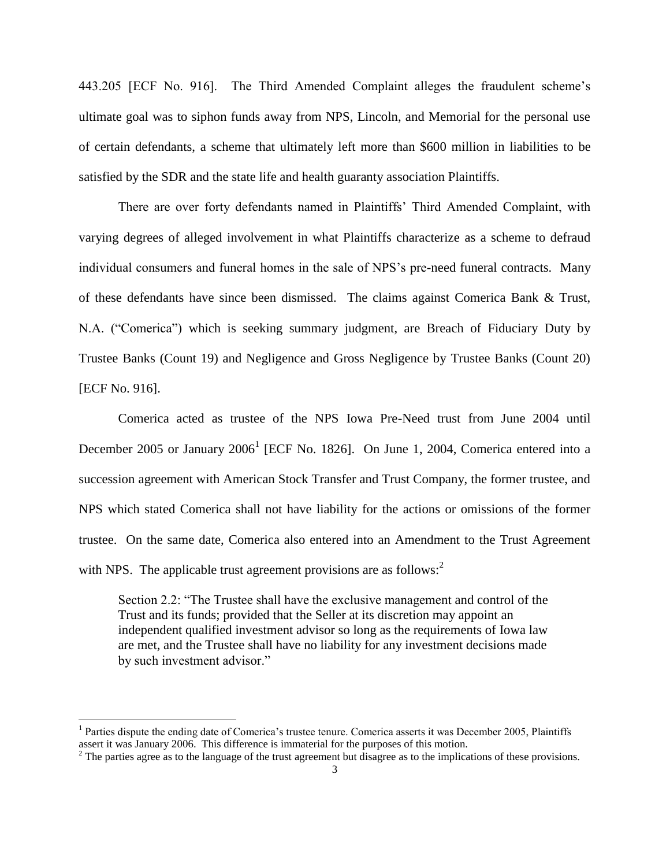443.205 [ECF No. 916]. The Third Amended Complaint alleges the fraudulent scheme's ultimate goal was to siphon funds away from NPS, Lincoln, and Memorial for the personal use of certain defendants, a scheme that ultimately left more than \$600 million in liabilities to be satisfied by the SDR and the state life and health guaranty association Plaintiffs.

There are over forty defendants named in Plaintiffs' Third Amended Complaint, with varying degrees of alleged involvement in what Plaintiffs characterize as a scheme to defraud individual consumers and funeral homes in the sale of NPS's pre-need funeral contracts. Many of these defendants have since been dismissed. The claims against Comerica Bank & Trust, N.A. ("Comerica") which is seeking summary judgment, are Breach of Fiduciary Duty by Trustee Banks (Count 19) and Negligence and Gross Negligence by Trustee Banks (Count 20) [ECF No. 916].

Comerica acted as trustee of the NPS Iowa Pre-Need trust from June 2004 until December 2005 or January  $2006<sup>1</sup>$  [ECF No. 1826]. On June 1, 2004, Comerica entered into a succession agreement with American Stock Transfer and Trust Company, the former trustee, and NPS which stated Comerica shall not have liability for the actions or omissions of the former trustee. On the same date, Comerica also entered into an Amendment to the Trust Agreement with NPS. The applicable trust agreement provisions are as follows: $2^2$ 

Section 2.2: "The Trustee shall have the exclusive management and control of the Trust and its funds; provided that the Seller at its discretion may appoint an independent qualified investment advisor so long as the requirements of Iowa law are met, and the Trustee shall have no liability for any investment decisions made by such investment advisor."

<sup>&</sup>lt;sup>1</sup> Parties dispute the ending date of Comerica's trustee tenure. Comerica asserts it was December 2005, Plaintiffs assert it was January 2006. This difference is immaterial for the purposes of this motion.

<sup>&</sup>lt;sup>2</sup> The parties agree as to the language of the trust agreement but disagree as to the implications of these provisions.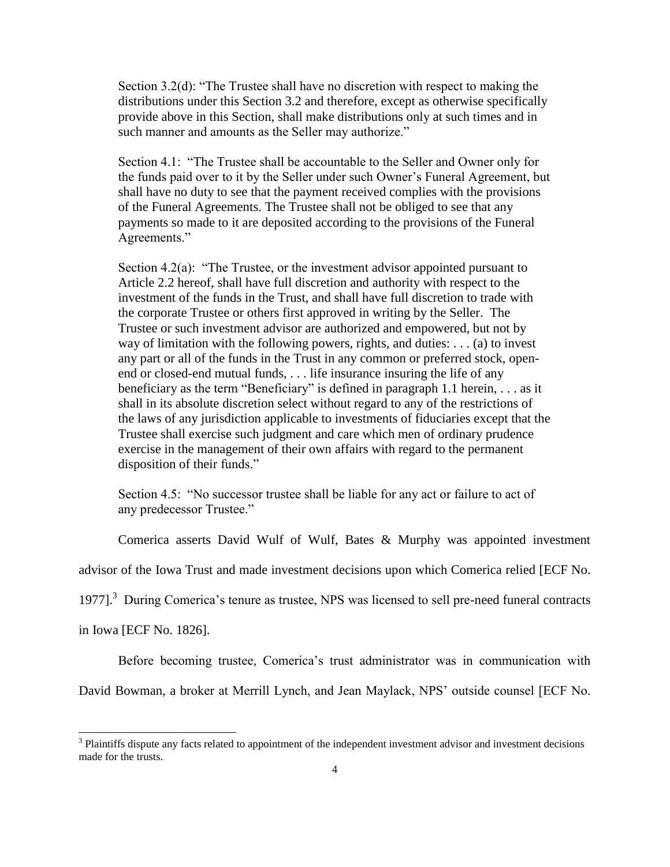Section 3.2(d): "The Trustee shall have no discretion with respect to making the distributions under this Section 3.2 and therefore, except as otherwise specifically provide above in this Section, shall make distributions only at such times and in such manner and amounts as the Seller may authorize."

Section 4.1: "The Trustee shall be accountable to the Seller and Owner only for the funds paid over to it by the Seller under such Owner's Funeral Agreement, but shall have no duty to see that the payment received complies with the provisions of the Funeral Agreements. The Trustee shall not be obliged to see that any payments so made to it are deposited according to the provisions of the Funeral Agreements."

Section  $4.2(a)$ : "The Trustee, or the investment advisor appointed pursuant to Article 2.2 hereof, shall have full discretion and authority with respect to the investment of the funds in the Trust, and shall have full discretion to trade with the corporate Trustee or others first approved in writing by the Seller. The Trustee or such investment advisor are authorized and empowered, but not by way of limitation with the following powers, rights, and duties: . . . (a) to invest any part or all of the funds in the Trust in any common or preferred stock, openend or closed-end mutual funds, . . . life insurance insuring the life of any beneficiary as the term "Beneficiary" is defined in paragraph 1.1 herein, . . . as it shall in its absolute discretion select without regard to any of the restrictions of the laws of any jurisdiction applicable to investments of fiduciaries except that the Trustee shall exercise such judgment and care which men of ordinary prudence exercise in the management of their own affairs with regard to the permanent disposition of their funds."

Section 4.5: "No successor trustee shall be liable for any act or failure to act of any predecessor Trustee."

Comerica asserts David Wulf of Wulf, Bates & Murphy was appointed investment

advisor of the Iowa Trust and made investment decisions upon which Comerica relied [ECF No.

1977].<sup>3</sup> During Comerica's tenure as trustee, NPS was licensed to sell pre-need funeral contracts

in Iowa [ECF No. 1826].

 $\overline{a}$ 

Before becoming trustee, Comerica's trust administrator was in communication with

David Bowman, a broker at Merrill Lynch, and Jean Maylack, NPS' outside counsel [ECF No.

 $3$  Plaintiffs dispute any facts related to appointment of the independent investment advisor and investment decisions made for the trusts.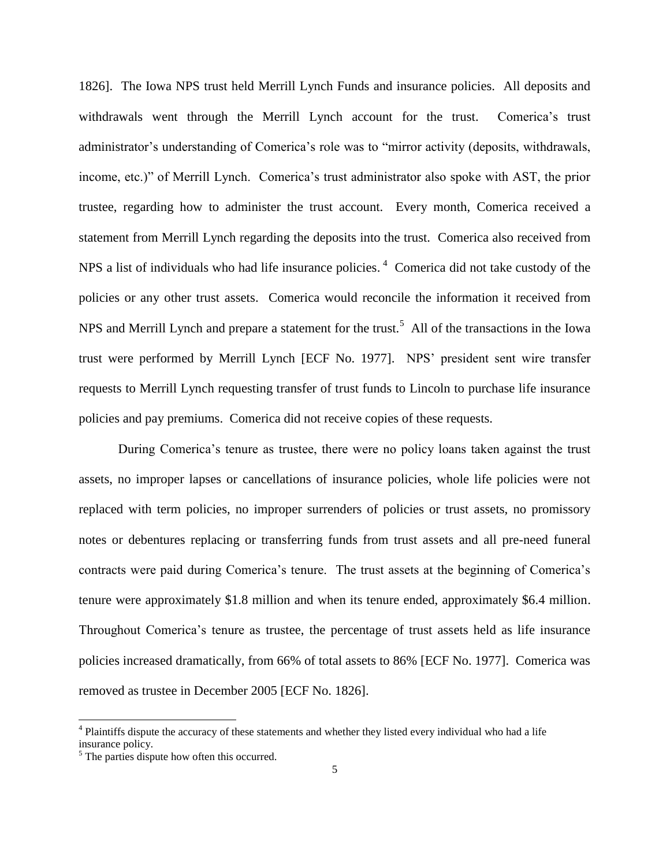1826]. The Iowa NPS trust held Merrill Lynch Funds and insurance policies. All deposits and withdrawals went through the Merrill Lynch account for the trust. Comerica's trust administrator's understanding of Comerica's role was to "mirror activity (deposits, withdrawals, income, etc.)" of Merrill Lynch. Comerica's trust administrator also spoke with AST, the prior trustee, regarding how to administer the trust account. Every month, Comerica received a statement from Merrill Lynch regarding the deposits into the trust. Comerica also received from NPS a list of individuals who had life insurance policies.<sup>4</sup> Comerica did not take custody of the policies or any other trust assets. Comerica would reconcile the information it received from NPS and Merrill Lynch and prepare a statement for the trust.<sup>5</sup> All of the transactions in the Iowa trust were performed by Merrill Lynch [ECF No. 1977]. NPS' president sent wire transfer requests to Merrill Lynch requesting transfer of trust funds to Lincoln to purchase life insurance policies and pay premiums. Comerica did not receive copies of these requests.

During Comerica's tenure as trustee, there were no policy loans taken against the trust assets, no improper lapses or cancellations of insurance policies, whole life policies were not replaced with term policies, no improper surrenders of policies or trust assets, no promissory notes or debentures replacing or transferring funds from trust assets and all pre-need funeral contracts were paid during Comerica's tenure. The trust assets at the beginning of Comerica's tenure were approximately \$1.8 million and when its tenure ended, approximately \$6.4 million. Throughout Comerica's tenure as trustee, the percentage of trust assets held as life insurance policies increased dramatically, from 66% of total assets to 86% [ECF No. 1977]. Comerica was removed as trustee in December 2005 [ECF No. 1826].

<sup>&</sup>lt;sup>4</sup> Plaintiffs dispute the accuracy of these statements and whether they listed every individual who had a life insurance policy.

<sup>&</sup>lt;sup>5</sup> The parties dispute how often this occurred.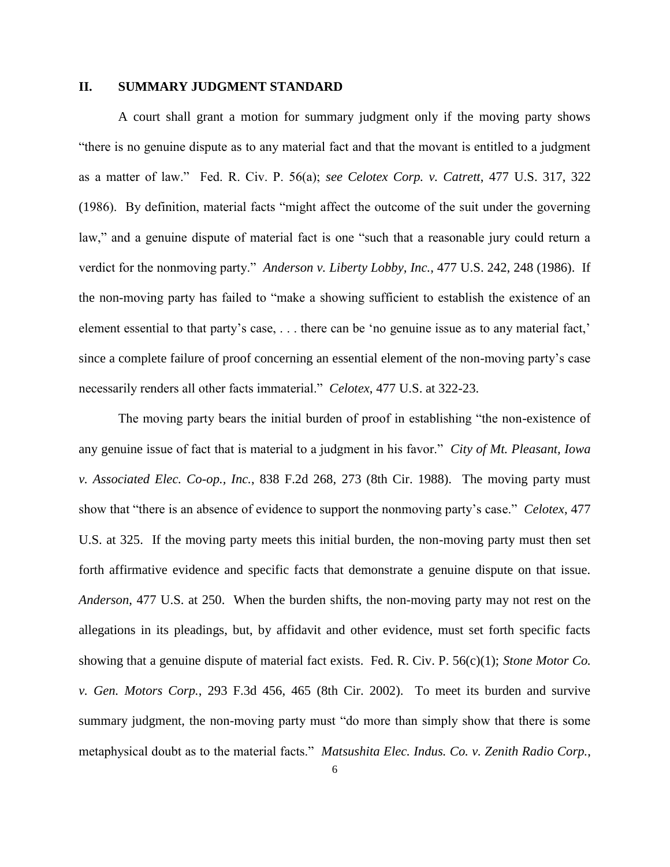# **II. SUMMARY JUDGMENT STANDARD**

A court shall grant a motion for summary judgment only if the moving party shows "there is no genuine dispute as to any material fact and that the movant is entitled to a judgment as a matter of law." Fed. R. Civ. P. 56(a); *see Celotex Corp. v. Catrett*, 477 U.S. 317, 322 (1986). By definition, material facts "might affect the outcome of the suit under the governing law," and a genuine dispute of material fact is one "such that a reasonable jury could return a verdict for the nonmoving party." *Anderson v. Liberty Lobby, Inc.*, 477 U.S. 242, 248 (1986). If the non-moving party has failed to "make a showing sufficient to establish the existence of an element essential to that party's case, . . . there can be 'no genuine issue as to any material fact,' since a complete failure of proof concerning an essential element of the non-moving party's case necessarily renders all other facts immaterial." *Celotex*, 477 U.S. at 322-23.

The moving party bears the initial burden of proof in establishing "the non-existence of any genuine issue of fact that is material to a judgment in his favor." *City of Mt. Pleasant, Iowa v. Associated Elec. Co-op., Inc.*, 838 F.2d 268, 273 (8th Cir. 1988). The moving party must show that "there is an absence of evidence to support the nonmoving party's case." *Celotex*, 477 U.S. at 325. If the moving party meets this initial burden, the non-moving party must then set forth affirmative evidence and specific facts that demonstrate a genuine dispute on that issue. *Anderson*, 477 U.S. at 250. When the burden shifts, the non-moving party may not rest on the allegations in its pleadings, but, by affidavit and other evidence, must set forth specific facts showing that a genuine dispute of material fact exists. Fed. R. Civ. P. 56(c)(1); *Stone Motor Co. v. Gen. Motors Corp.*, 293 F.3d 456, 465 (8th Cir. 2002). To meet its burden and survive summary judgment, the non-moving party must "do more than simply show that there is some metaphysical doubt as to the material facts." *Matsushita Elec. Indus. Co. v. Zenith Radio Corp.*,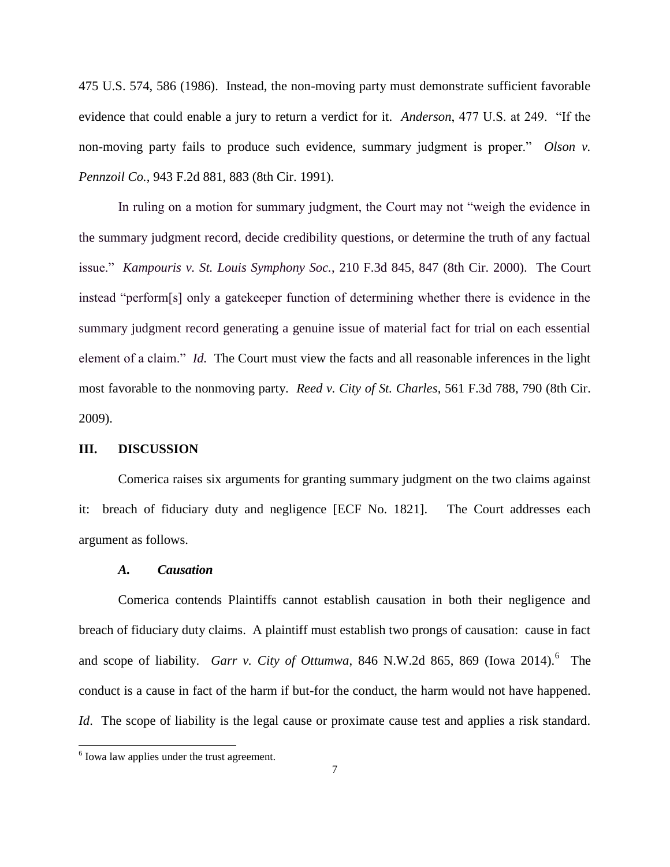475 U.S. 574, 586 (1986). Instead, the non-moving party must demonstrate sufficient favorable evidence that could enable a jury to return a verdict for it. *Anderson*, 477 U.S. at 249. "If the non-moving party fails to produce such evidence, summary judgment is proper." *Olson v. Pennzoil Co.*, 943 F.2d 881, 883 (8th Cir. 1991).

In ruling on a motion for summary judgment, the Court may not "weigh the evidence in the summary judgment record, decide credibility questions, or determine the truth of any factual issue." *Kampouris v. St. Louis Symphony Soc.*, 210 F.3d 845, 847 (8th Cir. 2000). The Court instead "perform[s] only a gatekeeper function of determining whether there is evidence in the summary judgment record generating a genuine issue of material fact for trial on each essential element of a claim." *Id.* The Court must view the facts and all reasonable inferences in the light most favorable to the nonmoving party. *Reed v. City of St. Charles*, 561 F.3d 788, 790 (8th Cir. 2009).

#### **III. DISCUSSION**

Comerica raises six arguments for granting summary judgment on the two claims against it: breach of fiduciary duty and negligence [ECF No. 1821]. The Court addresses each argument as follows.

#### *A. Causation*

Comerica contends Plaintiffs cannot establish causation in both their negligence and breach of fiduciary duty claims. A plaintiff must establish two prongs of causation: cause in fact and scope of liability. *Garr v. City of Ottumwa*, 846 N.W.2d 865, 869 (Iowa 2014).<sup>6</sup> The conduct is a cause in fact of the harm if but-for the conduct, the harm would not have happened. *Id*. The scope of liability is the legal cause or proximate cause test and applies a risk standard.

 6 Iowa law applies under the trust agreement.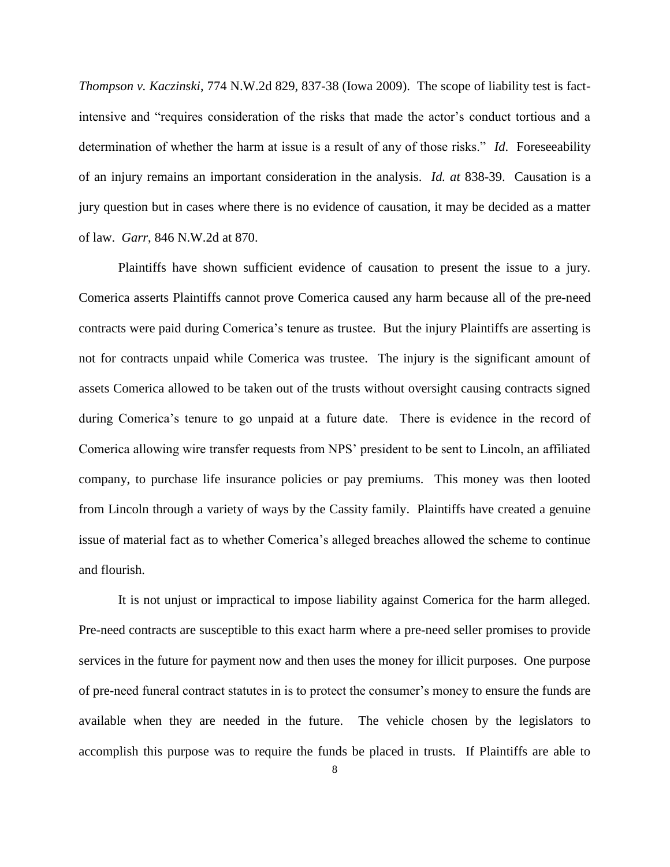*Thompson v. Kaczinski*, 774 N.W.2d 829, 837-38 (Iowa 2009). The scope of liability test is factintensive and "requires consideration of the risks that made the actor's conduct tortious and a determination of whether the harm at issue is a result of any of those risks." *Id*. Foreseeability of an injury remains an important consideration in the analysis. *Id. at* 838-39. Causation is a jury question but in cases where there is no evidence of causation, it may be decided as a matter of law. *Garr*, 846 N.W.2d at 870.

Plaintiffs have shown sufficient evidence of causation to present the issue to a jury. Comerica asserts Plaintiffs cannot prove Comerica caused any harm because all of the pre-need contracts were paid during Comerica's tenure as trustee. But the injury Plaintiffs are asserting is not for contracts unpaid while Comerica was trustee. The injury is the significant amount of assets Comerica allowed to be taken out of the trusts without oversight causing contracts signed during Comerica's tenure to go unpaid at a future date. There is evidence in the record of Comerica allowing wire transfer requests from NPS' president to be sent to Lincoln, an affiliated company, to purchase life insurance policies or pay premiums. This money was then looted from Lincoln through a variety of ways by the Cassity family. Plaintiffs have created a genuine issue of material fact as to whether Comerica's alleged breaches allowed the scheme to continue and flourish.

It is not unjust or impractical to impose liability against Comerica for the harm alleged. Pre-need contracts are susceptible to this exact harm where a pre-need seller promises to provide services in the future for payment now and then uses the money for illicit purposes. One purpose of pre-need funeral contract statutes in is to protect the consumer's money to ensure the funds are available when they are needed in the future. The vehicle chosen by the legislators to accomplish this purpose was to require the funds be placed in trusts. If Plaintiffs are able to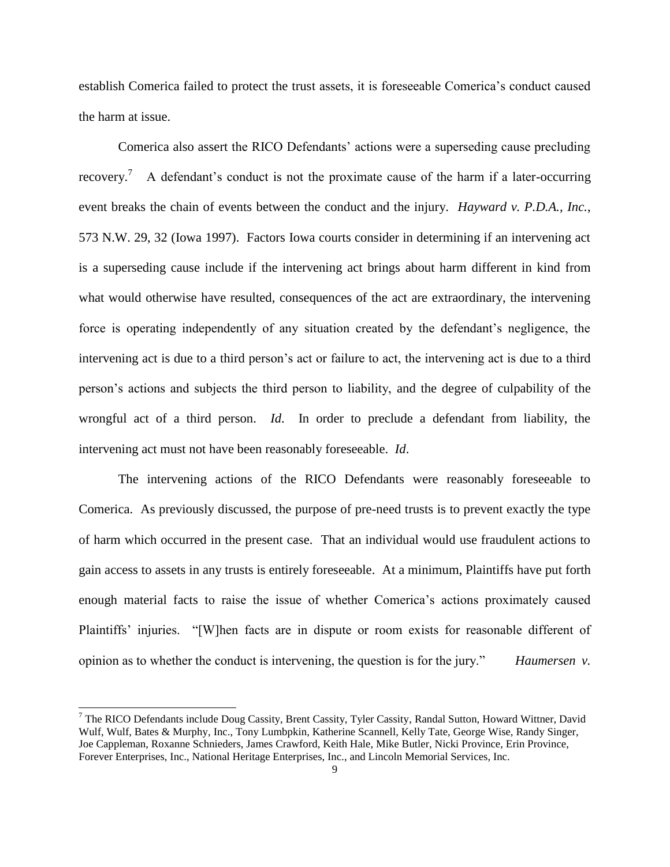establish Comerica failed to protect the trust assets, it is foreseeable Comerica's conduct caused the harm at issue.

Comerica also assert the RICO Defendants' actions were a superseding cause precluding recovery.<sup>7</sup> A defendant's conduct is not the proximate cause of the harm if a later-occurring event breaks the chain of events between the conduct and the injury. *Hayward v. P.D.A., Inc.*, 573 N.W. 29, 32 (Iowa 1997). Factors Iowa courts consider in determining if an intervening act is a superseding cause include if the intervening act brings about harm different in kind from what would otherwise have resulted, consequences of the act are extraordinary, the intervening force is operating independently of any situation created by the defendant's negligence, the intervening act is due to a third person's act or failure to act, the intervening act is due to a third person's actions and subjects the third person to liability, and the degree of culpability of the wrongful act of a third person. *Id*. In order to preclude a defendant from liability, the intervening act must not have been reasonably foreseeable. *Id*.

The intervening actions of the RICO Defendants were reasonably foreseeable to Comerica. As previously discussed, the purpose of pre-need trusts is to prevent exactly the type of harm which occurred in the present case. That an individual would use fraudulent actions to gain access to assets in any trusts is entirely foreseeable. At a minimum, Plaintiffs have put forth enough material facts to raise the issue of whether Comerica's actions proximately caused Plaintiffs' injuries. "[W]hen facts are in dispute or room exists for reasonable different of opinion as to whether the conduct is intervening, the question is for the jury." *Haumersen v.* 

 $7$  The RICO Defendants include Doug Cassity, Brent Cassity, Tyler Cassity, Randal Sutton, Howard Wittner, David Wulf, Wulf, Bates & Murphy, Inc., Tony Lumbpkin, Katherine Scannell, Kelly Tate, George Wise, Randy Singer, Joe Cappleman, Roxanne Schnieders, James Crawford, Keith Hale, Mike Butler, Nicki Province, Erin Province, Forever Enterprises, Inc., National Heritage Enterprises, Inc., and Lincoln Memorial Services, Inc.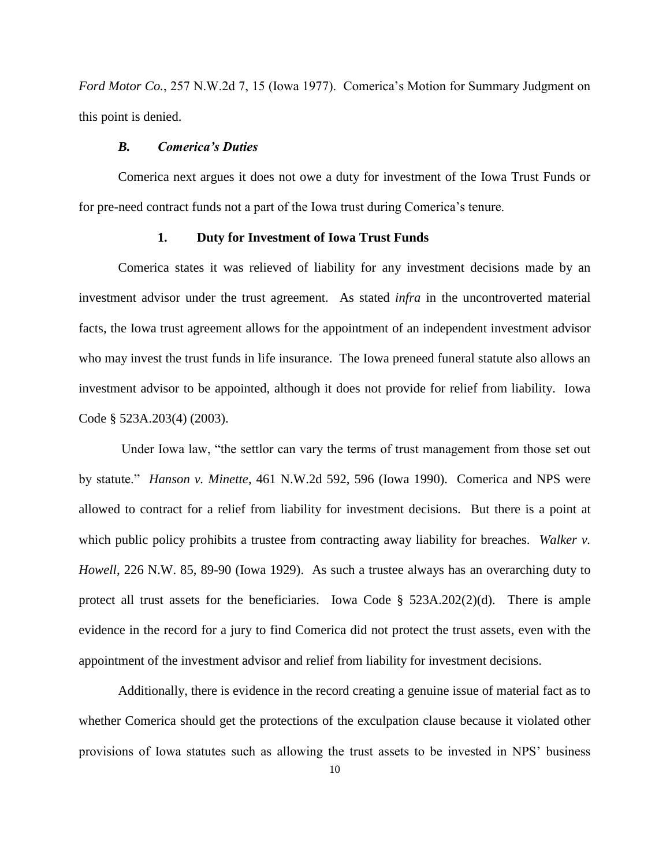*Ford Motor Co.*, 257 N.W.2d 7, 15 (Iowa 1977). Comerica's Motion for Summary Judgment on this point is denied.

#### *B. Comerica's Duties*

Comerica next argues it does not owe a duty for investment of the Iowa Trust Funds or for pre-need contract funds not a part of the Iowa trust during Comerica's tenure.

#### **1. Duty for Investment of Iowa Trust Funds**

Comerica states it was relieved of liability for any investment decisions made by an investment advisor under the trust agreement. As stated *infra* in the uncontroverted material facts, the Iowa trust agreement allows for the appointment of an independent investment advisor who may invest the trust funds in life insurance. The Iowa preneed funeral statute also allows an investment advisor to be appointed, although it does not provide for relief from liability. Iowa Code § 523A.203(4) (2003).

Under Iowa law, "the settlor can vary the terms of trust management from those set out by statute." *Hanson v. Minette*, 461 N.W.2d 592, 596 (Iowa 1990). Comerica and NPS were allowed to contract for a relief from liability for investment decisions. But there is a point at which public policy prohibits a trustee from contracting away liability for breaches. *Walker v. Howell*, 226 N.W. 85, 89-90 (Iowa 1929). As such a trustee always has an overarching duty to protect all trust assets for the beneficiaries. Iowa Code  $\S$  523A.202(2)(d). There is ample evidence in the record for a jury to find Comerica did not protect the trust assets, even with the appointment of the investment advisor and relief from liability for investment decisions.

Additionally, there is evidence in the record creating a genuine issue of material fact as to whether Comerica should get the protections of the exculpation clause because it violated other provisions of Iowa statutes such as allowing the trust assets to be invested in NPS' business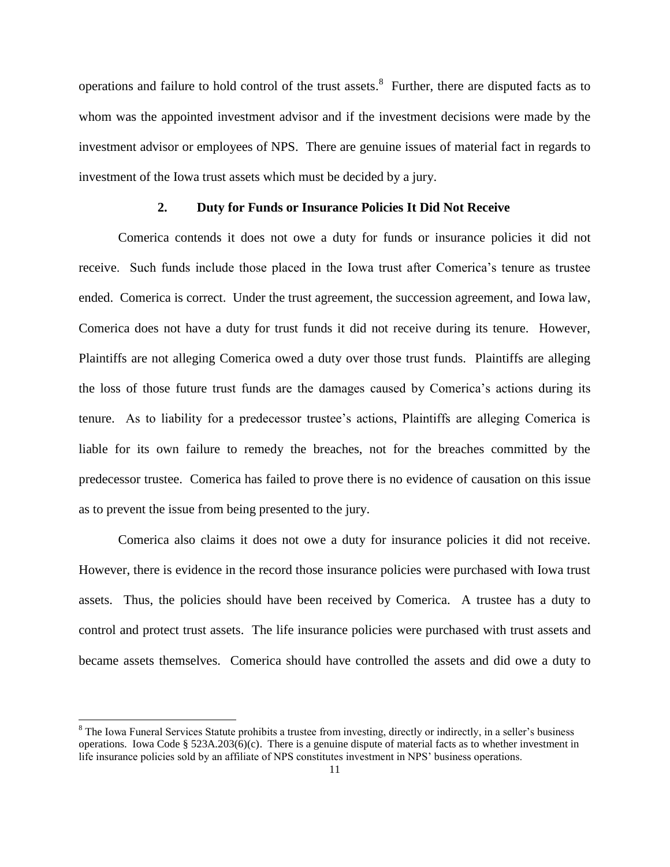operations and failure to hold control of the trust assets.<sup>8</sup> Further, there are disputed facts as to whom was the appointed investment advisor and if the investment decisions were made by the investment advisor or employees of NPS. There are genuine issues of material fact in regards to investment of the Iowa trust assets which must be decided by a jury.

# **2. Duty for Funds or Insurance Policies It Did Not Receive**

Comerica contends it does not owe a duty for funds or insurance policies it did not receive. Such funds include those placed in the Iowa trust after Comerica's tenure as trustee ended. Comerica is correct. Under the trust agreement, the succession agreement, and Iowa law, Comerica does not have a duty for trust funds it did not receive during its tenure. However, Plaintiffs are not alleging Comerica owed a duty over those trust funds. Plaintiffs are alleging the loss of those future trust funds are the damages caused by Comerica's actions during its tenure. As to liability for a predecessor trustee's actions, Plaintiffs are alleging Comerica is liable for its own failure to remedy the breaches, not for the breaches committed by the predecessor trustee. Comerica has failed to prove there is no evidence of causation on this issue as to prevent the issue from being presented to the jury.

Comerica also claims it does not owe a duty for insurance policies it did not receive. However, there is evidence in the record those insurance policies were purchased with Iowa trust assets. Thus, the policies should have been received by Comerica. A trustee has a duty to control and protect trust assets. The life insurance policies were purchased with trust assets and became assets themselves. Comerica should have controlled the assets and did owe a duty to

<sup>&</sup>lt;sup>8</sup> The Iowa Funeral Services Statute prohibits a trustee from investing, directly or indirectly, in a seller's business operations. Iowa Code §  $523A.203(6)(c)$ . There is a genuine dispute of material facts as to whether investment in life insurance policies sold by an affiliate of NPS constitutes investment in NPS' business operations.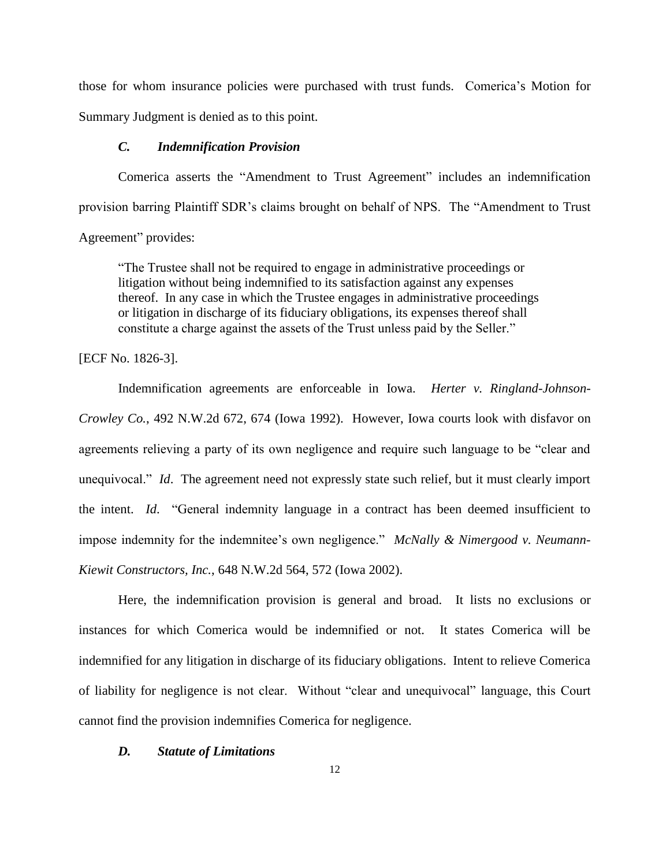those for whom insurance policies were purchased with trust funds. Comerica's Motion for Summary Judgment is denied as to this point.

# *C. Indemnification Provision*

Comerica asserts the "Amendment to Trust Agreement" includes an indemnification provision barring Plaintiff SDR's claims brought on behalf of NPS. The "Amendment to Trust Agreement" provides:

"The Trustee shall not be required to engage in administrative proceedings or litigation without being indemnified to its satisfaction against any expenses thereof. In any case in which the Trustee engages in administrative proceedings or litigation in discharge of its fiduciary obligations, its expenses thereof shall constitute a charge against the assets of the Trust unless paid by the Seller."

# [ECF No. 1826-3].

Indemnification agreements are enforceable in Iowa. *Herter v. Ringland-Johnson-Crowley Co.*, 492 N.W.2d 672, 674 (Iowa 1992). However, Iowa courts look with disfavor on agreements relieving a party of its own negligence and require such language to be "clear and unequivocal." *Id*. The agreement need not expressly state such relief, but it must clearly import the intent. *Id*. "General indemnity language in a contract has been deemed insufficient to impose indemnity for the indemnitee's own negligence." *McNally & Nimergood v. Neumann-Kiewit Constructors, Inc.*, 648 N.W.2d 564, 572 (Iowa 2002).

Here, the indemnification provision is general and broad. It lists no exclusions or instances for which Comerica would be indemnified or not. It states Comerica will be indemnified for any litigation in discharge of its fiduciary obligations. Intent to relieve Comerica of liability for negligence is not clear. Without "clear and unequivocal" language, this Court cannot find the provision indemnifies Comerica for negligence.

### *D. Statute of Limitations*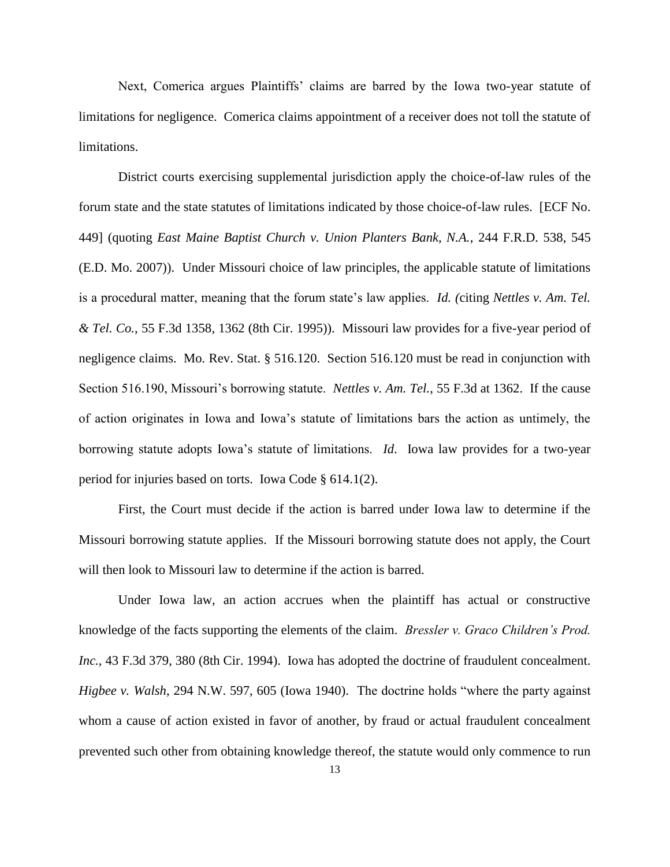Next, Comerica argues Plaintiffs' claims are barred by the Iowa two-year statute of limitations for negligence. Comerica claims appointment of a receiver does not toll the statute of limitations.

District courts exercising supplemental jurisdiction apply the choice-of-law rules of the forum state and the state statutes of limitations indicated by those choice-of-law rules. [ECF No. 449] (quoting *East Maine Baptist Church v. Union Planters Bank, N.A.*, 244 F.R.D. 538, 545 (E.D. Mo. 2007)). Under Missouri choice of law principles, the applicable statute of limitations is a procedural matter, meaning that the forum state's law applies. *Id. (*citing *Nettles v. Am. Tel. & Tel. Co.*, 55 F.3d 1358, 1362 (8th Cir. 1995)). Missouri law provides for a five-year period of negligence claims. Mo. Rev. Stat. § 516.120. Section 516.120 must be read in conjunction with Section 516.190, Missouri's borrowing statute. *Nettles v. Am. Tel.*, 55 F.3d at 1362. If the cause of action originates in Iowa and Iowa's statute of limitations bars the action as untimely, the borrowing statute adopts Iowa's statute of limitations. *Id*. Iowa law provides for a two-year period for injuries based on torts. Iowa Code § 614.1(2).

First, the Court must decide if the action is barred under Iowa law to determine if the Missouri borrowing statute applies. If the Missouri borrowing statute does not apply, the Court will then look to Missouri law to determine if the action is barred.

Under Iowa law, an action accrues when the plaintiff has actual or constructive knowledge of the facts supporting the elements of the claim. *Bressler v. Graco Children's Prod. Inc.*, 43 F.3d 379, 380 (8th Cir. 1994). Iowa has adopted the doctrine of fraudulent concealment. *Higbee v. Walsh*, 294 N.W. 597, 605 (Iowa 1940). The doctrine holds "where the party against whom a cause of action existed in favor of another, by fraud or actual fraudulent concealment prevented such other from obtaining knowledge thereof, the statute would only commence to run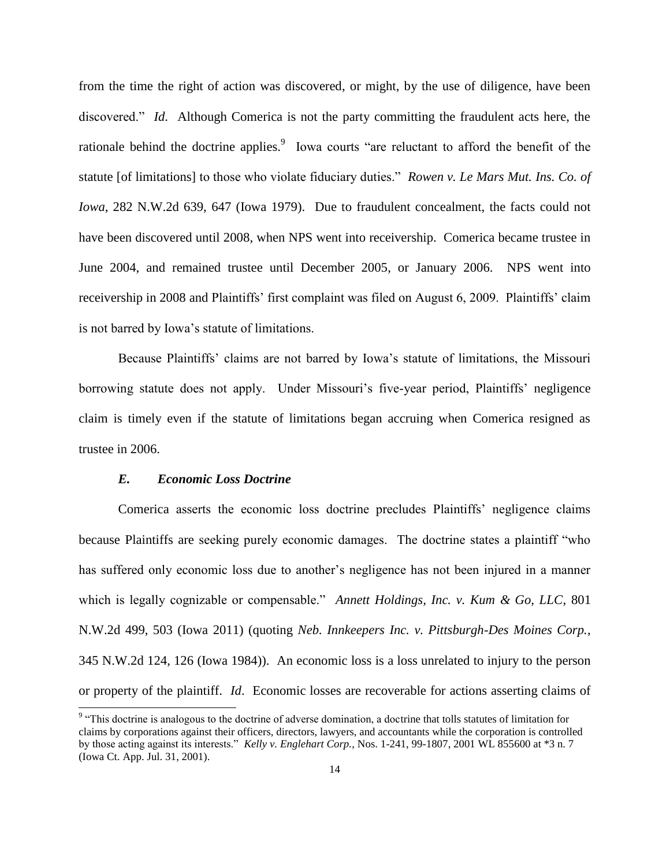from the time the right of action was discovered, or might, by the use of diligence, have been discovered." *Id*. Although Comerica is not the party committing the fraudulent acts here, the rationale behind the doctrine applies.<sup>9</sup> Iowa courts "are reluctant to afford the benefit of the statute [of limitations] to those who violate fiduciary duties." *Rowen v. Le Mars Mut. Ins. Co. of Iowa*, 282 N.W.2d 639, 647 (Iowa 1979). Due to fraudulent concealment, the facts could not have been discovered until 2008, when NPS went into receivership. Comerica became trustee in June 2004, and remained trustee until December 2005, or January 2006. NPS went into receivership in 2008 and Plaintiffs' first complaint was filed on August 6, 2009. Plaintiffs' claim is not barred by Iowa's statute of limitations.

Because Plaintiffs' claims are not barred by Iowa's statute of limitations, the Missouri borrowing statute does not apply. Under Missouri's five-year period, Plaintiffs' negligence claim is timely even if the statute of limitations began accruing when Comerica resigned as trustee in 2006.

#### *E. Economic Loss Doctrine*

Comerica asserts the economic loss doctrine precludes Plaintiffs' negligence claims because Plaintiffs are seeking purely economic damages. The doctrine states a plaintiff "who has suffered only economic loss due to another's negligence has not been injured in a manner which is legally cognizable or compensable." *Annett Holdings, Inc. v. Kum & Go, LLC*, 801 N.W.2d 499, 503 (Iowa 2011) (quoting *Neb. Innkeepers Inc. v. Pittsburgh-Des Moines Corp.*, 345 N.W.2d 124, 126 (Iowa 1984)). An economic loss is a loss unrelated to injury to the person or property of the plaintiff. *Id*. Economic losses are recoverable for actions asserting claims of

<sup>&</sup>lt;sup>9</sup> "This doctrine is analogous to the doctrine of adverse domination, a doctrine that tolls statutes of limitation for claims by corporations against their officers, directors, lawyers, and accountants while the corporation is controlled by those acting against its interests." *Kelly v. Englehart Corp.*, Nos. 1-241, 99-1807, 2001 WL 855600 at \*3 n. 7 (Iowa Ct. App. Jul. 31, 2001).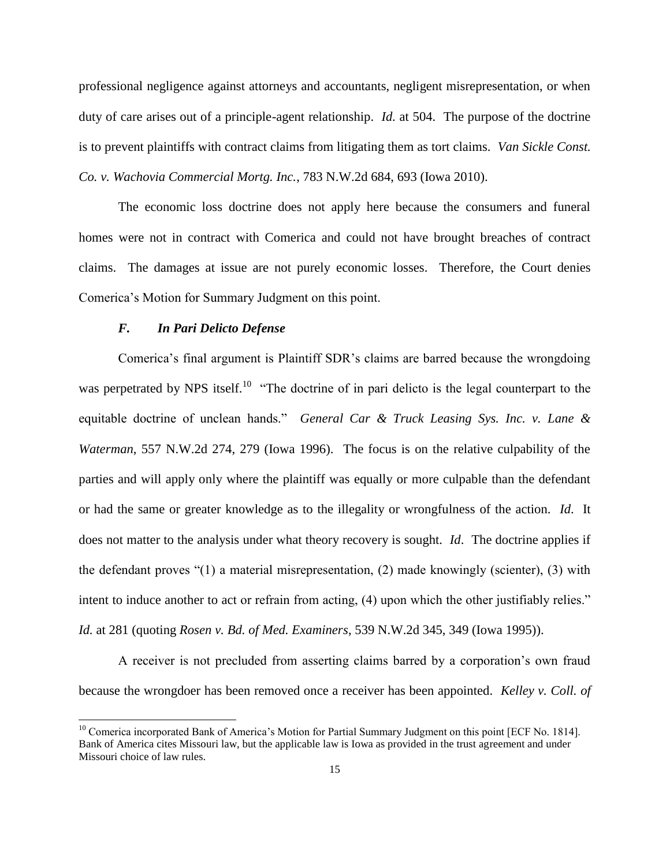professional negligence against attorneys and accountants, negligent misrepresentation, or when duty of care arises out of a principle-agent relationship. *Id.* at 504. The purpose of the doctrine is to prevent plaintiffs with contract claims from litigating them as tort claims. *Van Sickle Const. Co. v. Wachovia Commercial Mortg. Inc.*, 783 N.W.2d 684, 693 (Iowa 2010).

The economic loss doctrine does not apply here because the consumers and funeral homes were not in contract with Comerica and could not have brought breaches of contract claims. The damages at issue are not purely economic losses. Therefore, the Court denies Comerica's Motion for Summary Judgment on this point.

#### *F. In Pari Delicto Defense*

 $\overline{a}$ 

Comerica's final argument is Plaintiff SDR's claims are barred because the wrongdoing was perpetrated by NPS itself.<sup>10</sup> "The doctrine of in pari delicto is the legal counterpart to the equitable doctrine of unclean hands." *General Car & Truck Leasing Sys. Inc. v. Lane & Waterman*, 557 N.W.2d 274, 279 (Iowa 1996). The focus is on the relative culpability of the parties and will apply only where the plaintiff was equally or more culpable than the defendant or had the same or greater knowledge as to the illegality or wrongfulness of the action. *Id*. It does not matter to the analysis under what theory recovery is sought. *Id*. The doctrine applies if the defendant proves "(1) a material misrepresentation, (2) made knowingly (scienter), (3) with intent to induce another to act or refrain from acting, (4) upon which the other justifiably relies." *Id.* at 281 (quoting *Rosen v. Bd. of Med. Examiners*, 539 N.W.2d 345, 349 (Iowa 1995)).

A receiver is not precluded from asserting claims barred by a corporation's own fraud because the wrongdoer has been removed once a receiver has been appointed. *Kelley v. Coll. of* 

<sup>&</sup>lt;sup>10</sup> Comerica incorporated Bank of America's Motion for Partial Summary Judgment on this point [ECF No. 1814]. Bank of America cites Missouri law, but the applicable law is Iowa as provided in the trust agreement and under Missouri choice of law rules.